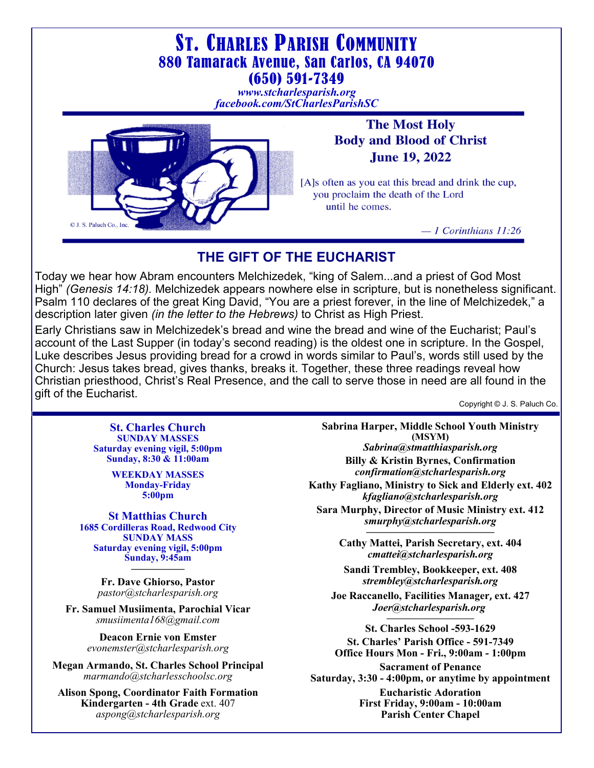

 $-1$  Corinthians 11:26

# **THE GIFT OF THE EUCHARIST**

Today we hear how Abram encounters Melchizedek, "king of Salem...and a priest of God Most High" *(Genesis 14:18).* Melchizedek appears nowhere else in scripture, but is nonetheless significant. Psalm 110 declares of the great King David, "You are a priest forever, in the line of Melchizedek," a description later given *(in the letter to the Hebrews)* to Christ as High Priest.

Early Christians saw in Melchizedek's bread and wine the bread and wine of the Eucharist; Paul's account of the Last Supper (in today's second reading) is the oldest one in scripture. In the Gospel, Luke describes Jesus providing bread for a crowd in words similar to Paul's, words still used by the Church: Jesus takes bread, gives thanks, breaks it. Together, these three readings reveal how Christian priesthood, Christ's Real Presence, and the call to serve those in need are all found in the gift of the Eucharist.

Copyright © J. S. Paluch Co.

**St. Charles Church SUNDAY MASSES Saturday evening vigil, 5:00pm Sunday, 8:30 & 11:00am** 

© J. S. Paluch Co., Inc

**WEEKDAY MASSES Monday-Friday 5:00pm** 

**St Matthias Church 1685 Cordilleras Road, Redwood City SUNDAY MASS Saturday evening vigil, 5:00pm Sunday, 9:45am —————** 

> **Fr. Dave Ghiorso, Pastor**  *pastor@stcharlesparish.org*

**Fr. Samuel Musiimenta, Parochial Vicar** *smusiimenta168@gmail.com* 

> **Deacon Ernie von Emster** *evonemster@stcharlesparish.org*

**Megan Armando, St. Charles School Principal**  *marmando@stcharlesschoolsc.org* 

**Alison Spong, Coordinator Faith Formation Kindergarten - 4th Grade** ext. 407 *aspong@stcharlesparish.org* 

**Sabrina Harper, Middle School Youth Ministry (MSYM)**  *Sabrina@stmatthiasparish.org*  **Billy & Kristin Byrnes, Confirmation**

*confirmation@stcharlesparish.org*  **Kathy Fagliano, Ministry to Sick and Elderly ext. 402**

*kfagliano@stcharlesparish.org* 

**Sara Murphy, Director of Music Ministry ext. 412**  *smurphy@stcharlesparish.org ————————————* 

**Cathy Mattei, Parish Secretary, ext. 404**  *cmattei@stcharlesparish.org* 

**Sandi Trembley, Bookkeeper, ext. 408**  *strembley@stcharlesparish.org* 

**Joe Raccanello, Facilities Manager, ext. 427**  *Joer@stcharlesparish.org* 

**————————— St. Charles School -593-1629 St. Charles' Parish Office - 591-7349 Office Hours Mon - Fri., 9:00am - 1:00pm** 

**Sacrament of Penance Saturday, 3:30 - 4:00pm, or anytime by appointment** 

**Eucharistic Adoration First Friday, 9:00am - 10:00am Parish Center Chapel**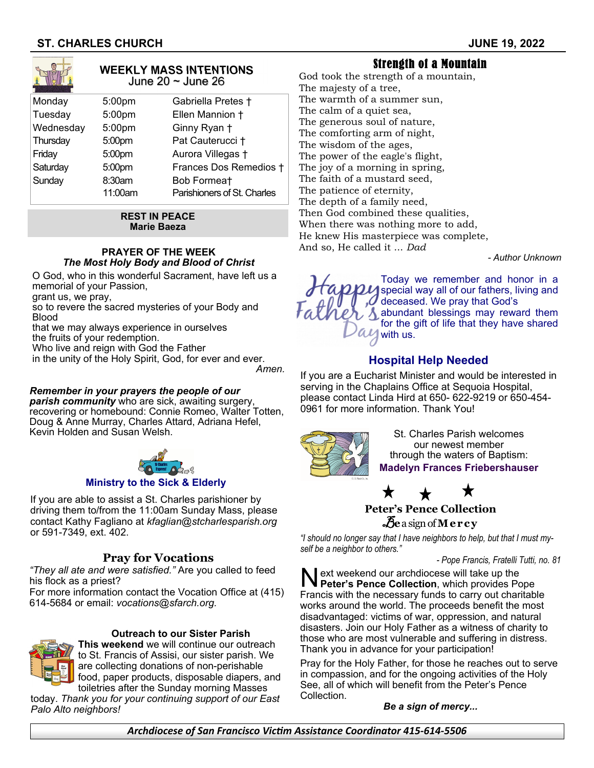

#### **WEEKLY MASS INTENTIONS** June 20 ~ June 26

| Monday    | 5:00pm  | Gabriella Pretes †          |
|-----------|---------|-----------------------------|
| Tuesday   | 5:00pm  | Ellen Mannion +             |
| Wednesday | 5:00pm  | Ginny Ryan +                |
| Thursday  | 5:00pm  | Pat Cauterucci +            |
| Friday    | 5:00pm  | Aurora Villegas +           |
| Saturday  | 5:00pm  | Frances Dos Remedios +      |
| Sunday    | 8:30am  | Bob Formeat                 |
|           | 11:00am | Parishioners of St. Charles |
|           |         |                             |

#### **REST IN PEACE Marie Baeza**

#### **PRAYER OF THE WEEK**  *The Most Holy Body and Blood of Christ*

O God, who in this wonderful Sacrament, have left us a memorial of your Passion,

grant us, we pray,

so to revere the sacred mysteries of your Body and Blood

that we may always experience in ourselves the fruits of your redemption.

Who live and reign with God the Father

in the unity of the Holy Spirit, God, for ever and ever. *Amen.* 

## *Remember in your prayers the people of our*

*parish community* who are sick, awaiting surgery, recovering or homebound: Connie Romeo, Walter Totten, Doug & Anne Murray, Charles Attard, Adriana Hefel, Kevin Holden and Susan Welsh.



### **Ministry to the Sick & Elderly**

If you are able to assist a St. Charles parishioner by driving them to/from the 11:00am Sunday Mass, please contact Kathy Fagliano at *kfaglian@stcharlesparish.org* or 591-7349, ext. 402.

## **Pray for Vocations**

*"They all ate and were satisfied."* Are you called to feed his flock as a priest?

For more information contact the Vocation Office at (415) 614-5684 or email: *vocations@sfarch.org.* 

## **Outreach to our Sister Parish**



**This weekend** we will continue our outreach to St. Francis of Assisi, our sister parish. We are collecting donations of non-perishable food, paper products, disposable diapers, and toiletries after the Sunday morning Masses

today. *Thank you for your continuing support of our East Palo Alto neighbors!*

God took the strength of a mountain, The majesty of a tree, The warmth of a summer sun, The calm of a quiet sea, The generous soul of nature, The comforting arm of night, The wisdom of the ages, The power of the eagle's flight, The joy of a morning in spring, The faith of a mustard seed, The patience of eternity, The depth of a family need, Then God combined these qualities, When there was nothing more to add, He knew His masterpiece was complete, And so, He called it ... *Dad* 

Strength of a Mountain

*- Author Unknown*



# **Hospital Help Needed**

If you are a Eucharist Minister and would be interested in serving in the Chaplains Office at Sequoia Hospital, please contact Linda Hird at 650- 622-9219 or 650-454- 0961 for more information. Thank You!



St. Charles Parish welcomes our newest member through the waters of Baptism: **Madelyn Frances Friebershauser** 

 $\bigstar$ **Peter's Pence Collection** 

B**e** a sign of **Mercy** 

*"I should no longer say that I have neighbors to help, but that I must myself be a neighbor to others."* 

 *- Pope Francis, Fratelli Tutti, no. 81* 

N ext weekend our archdiocese will take up the **Peter's Pence Collection**, which provides Pope Francis with the necessary funds to carry out charitable works around the world. The proceeds benefit the most disadvantaged: victims of war, oppression, and natural disasters. Join our Holy Father as a witness of charity to those who are most vulnerable and suffering in distress. Thank you in advance for your participation!

Pray for the Holy Father, for those he reaches out to serve in compassion, and for the ongoing activities of the Holy See, all of which will benefit from the Peter's Pence Collection.

*Be a sign of mercy...* 

*Archdiocese of San Francisco VicƟm Assistance Coordinator 415-614-5506*